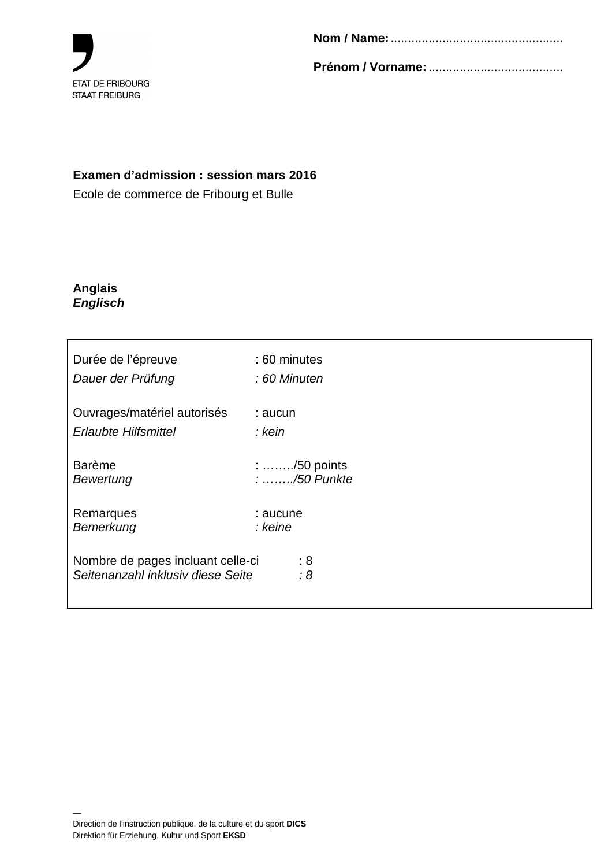

**Prénom / Vorname:** .......................................

## **Examen d'admission : session mars 2016**

Ecole de commerce de Fribourg et Bulle

#### **Anglais Englisch**

| Durée de l'épreuve                | : 60 minutes                        |
|-----------------------------------|-------------------------------------|
| Dauer der Prüfung                 | : 60 Minuten                        |
| Ouvrages/matériel autorisés       | : aucun                             |
| <b>Erlaubte Hilfsmittel</b>       | : kein                              |
| <b>Barème</b>                     | $: \ldots \ldots \ldots$ /50 points |
| Bewertung                         | $: \ldots \ldots$ ./50 Punkte       |
| Remarques                         | : aucune                            |
| Bemerkung                         | : keine                             |
| Nombre de pages incluant celle-ci | :8                                  |
| Seitenanzahl inklusiv diese Seite | :8                                  |

—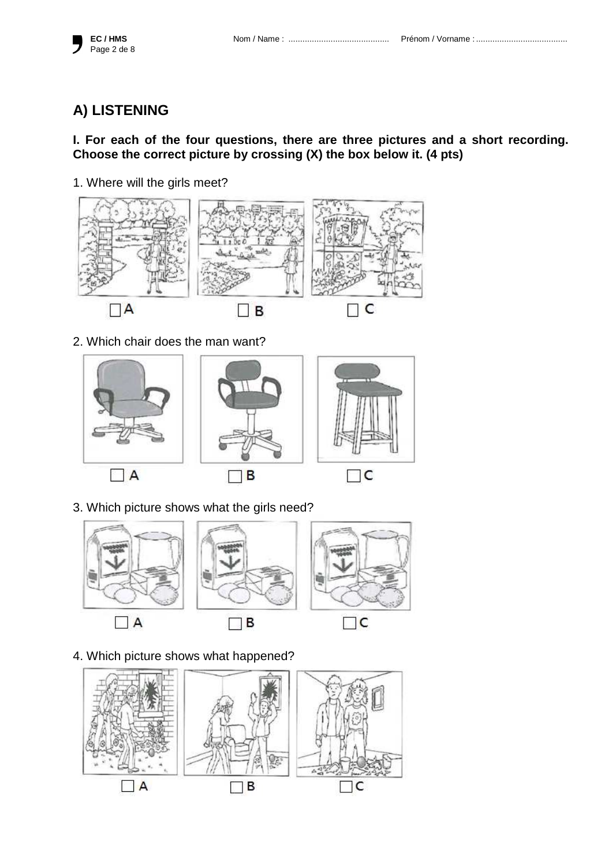

## **A) LISTENING**

## **I. For each of the four questions, there are three pictures and a short recording. Choose the correct picture by crossing (X) the box below it. (4 pts)**

1. Where will the girls meet?



2. Which chair does the man want?



3. Which picture shows what the girls need?



4. Which picture shows what happened?

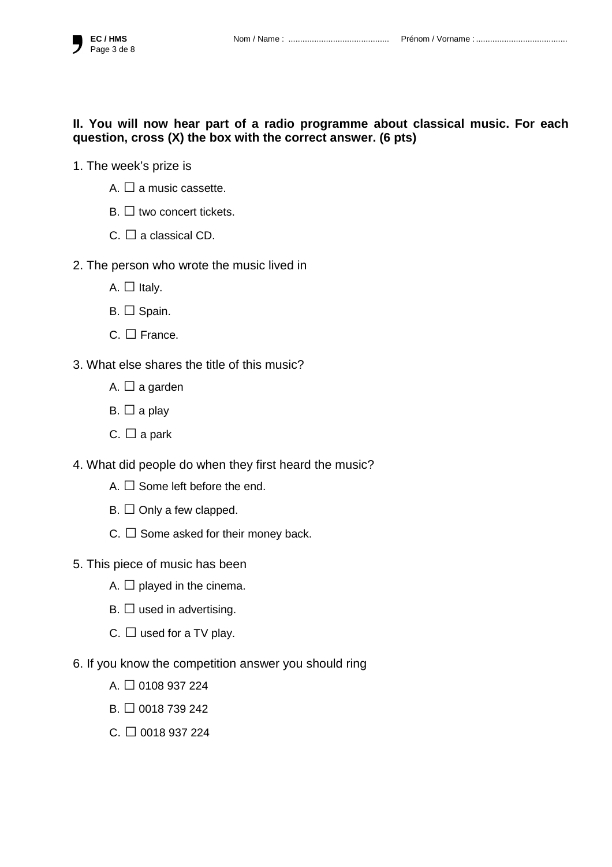## **II. You will now hear part of a radio programme about classical music. For each question, cross (X) the box with the correct answer. (6 pts)**

- 1. The week's prize is
	- A.  $\square$  a music cassette.
	- $B \Box$  two concert tickets.
	- C.  $\Box$  a classical CD.
- 2. The person who wrote the music lived in
	- $A.$   $\Box$  Italy.
	- B. □ Spain.
	- $C. \Box$  France.
- 3. What else shares the title of this music?
	- A.  $\Box$  a garden
	- $B. \Box$  a play
	- C.  $\Box$  a park
- 4. What did people do when they first heard the music?
	- A.  $\Box$  Some left before the end.
	- $B. \Box$  Only a few clapped.
	- C.  $\Box$  Some asked for their money back.
- 5. This piece of music has been
	- A.  $\Box$  played in the cinema.
	- $B. \Box$  used in advertising.
	- C.  $\Box$  used for a TV play.
- 6. If you know the competition answer you should ring
	- $A \Box 0108937224$
	- $B. \Box 0018739242$
	- $C. \Box$  0018 937 224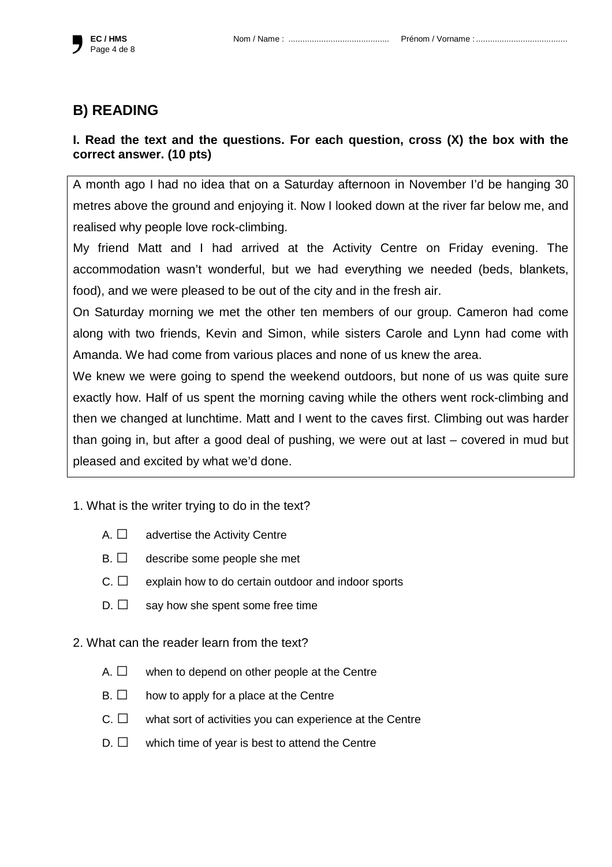

## **B) READING**

## **I. Read the text and the questions. For each question, cross (X) the box with the correct answer. (10 pts)**

A month ago I had no idea that on a Saturday afternoon in November I'd be hanging 30 metres above the ground and enjoying it. Now I looked down at the river far below me, and realised why people love rock-climbing.

My friend Matt and I had arrived at the Activity Centre on Friday evening. The accommodation wasn't wonderful, but we had everything we needed (beds, blankets, food), and we were pleased to be out of the city and in the fresh air.

On Saturday morning we met the other ten members of our group. Cameron had come along with two friends, Kevin and Simon, while sisters Carole and Lynn had come with Amanda. We had come from various places and none of us knew the area.

We knew we were going to spend the weekend outdoors, but none of us was quite sure exactly how. Half of us spent the morning caving while the others went rock-climbing and then we changed at lunchtime. Matt and I went to the caves first. Climbing out was harder than going in, but after a good deal of pushing, we were out at last – covered in mud but pleased and excited by what we'd done.

- 1. What is the writer trying to do in the text?
	- $A. \Box$  advertise the Activity Centre
	- $B. \Box$  describe some people she met
	- $C. \Box$  explain how to do certain outdoor and indoor sports
	- $D. \Box$  say how she spent some free time

#### 2. What can the reader learn from the text?

- $A. \Box$  when to depend on other people at the Centre
- $B. \Box$  how to apply for a place at the Centre
- C. □ what sort of activities you can experience at the Centre
- $D. \Box$  which time of year is best to attend the Centre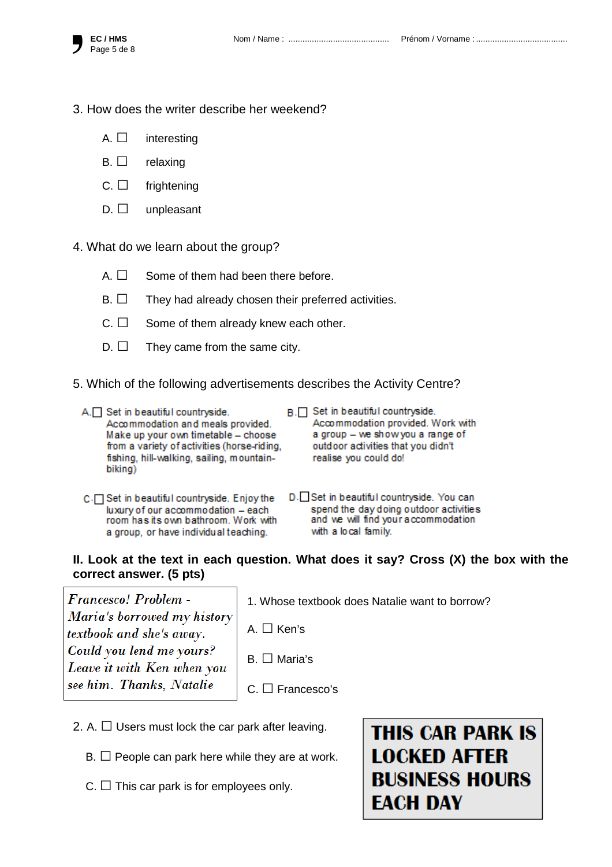- 3. How does the writer describe her weekend?
	- A.  $\square$  interesting
	- $B. \Box$  relaxing
	- C. □ frightening
	- $D. \Box$  unpleasant
- 4. What do we learn about the group?
	- $A. \Box$  Some of them had been there before.
	- $B. \Box$  They had already chosen their preferred activities.
	- $C. \Box$  Some of them already knew each other.
	- $D. \Box$  They came from the same city.
- 5. Which of the following advertisements describes the Activity Centre?
	- A. Set in beautiful countryside. Accommodation and meals provided. Make up your own timetable - choose from a variety of activities (horse-riding, fishing, hill-walking, sailing, mountainbiking)
- B. Set in beautiful countryside. Accommodation provided. Work with a group - we show you a range of outdoor activities that you didn't realise you could do!
	- C. Set in beautiful countryside. Enjoy the luxury of our accommodation - each room has its own bathroom. Work with a group, or have individual teaching.
- D. Set in beautiful countryside. You can spend the day doing outdoor activities and we will find your accommodation with a local family.

#### **II. Look at the text in each question. What does it say? Cross (X) the box with the correct answer. (5 pts)**

**Francesco!** Problem -Maria's borrowed my history textbook and she's away. Could you lend me yours? Leave it with Ken when you see him. Thanks. Natalie

1. Whose textbook does Natalie want to borrow?

A. □ Ken's

- B. □ Maria's
- C. □ Francesco's
- 2. A.  $\Box$  Users must lock the car park after leaving.
	- $B. \Box$  People can park here while they are at work.
	- C.  $\Box$  This car park is for employees only.

# **THIS CAR PARK IS LOCKED AFTER BUSINESS HOURS EACH DAY**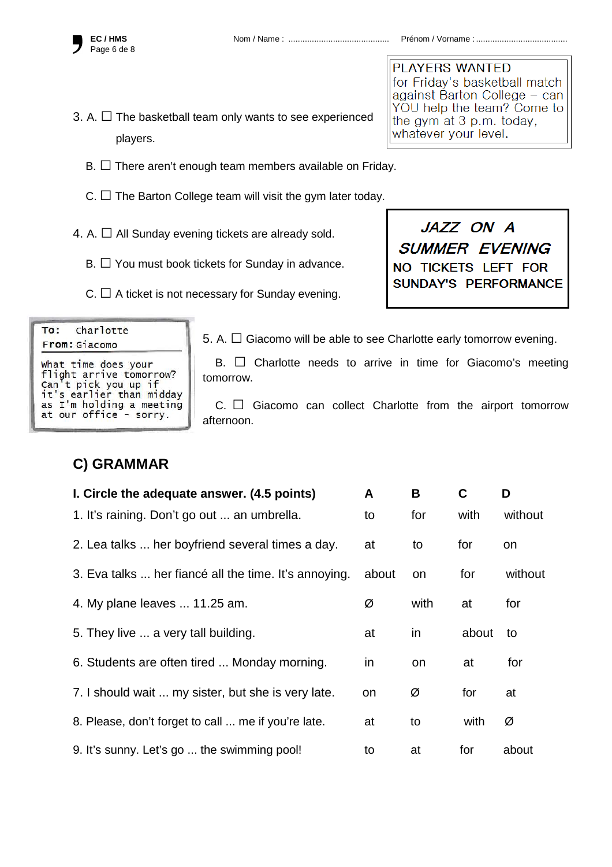

**EC / HMS** Nom / Name : ........................................... Prénom / Vorname : .......................................

- 3. A.  $\Box$  The basketball team only wants to see experienced players.
	- $B. \Box$  There aren't enough team members available on Friday.
	- $C.$   $\Box$  The Barton College team will visit the gym later today.
- 4. A.  $\Box$  All Sunday evening tickets are already sold.
	- $B. \Box$  You must book tickets for Sunday in advance.
	- $C. \Box$  A ticket is not necessary for Sunday evening.

**PLAYERS WANTED** for Friday's basketball match against Barton College - can YOU help the team? Come to the gym at 3 p.m. today, whatever your level.

JAZZ ON A **SUMMER EVENING** NO TICKETS LEFT FOR SUNDAY'S PERFORMANCE

| TV. Charlotte                                    |
|--------------------------------------------------|
| From: Giacomo                                    |
| what time does your                              |
| flight arrive tomorrow?                          |
| Can't pick you up if<br>it's earlier than midday |
|                                                  |
| as I'm holding a meeting                         |
| at our office - sorry.                           |

وأستمام المستأمات

 $T -$ 

5. A.  $\Box$  Giacomo will be able to see Charlotte early tomorrow evening.

B.  $\Box$  Charlotte needs to arrive in time for Giacomo's meeting tomorrow.

 $C.$   $\Box$  Giacomo can collect Charlotte from the airport tomorrow afternoon.

# **C) GRAMMAR**

| I. Circle the adequate answer. (4.5 points)           |    | В         | C     | D       |
|-------------------------------------------------------|----|-----------|-------|---------|
| 1. It's raining. Don't go out  an umbrella.           |    | for       | with  | without |
| 2. Lea talks  her boyfriend several times a day.      | at | to        | for   | on      |
| 3. Eva talks  her fiancé all the time. It's annoying. |    | on        | for   | without |
| 4. My plane leaves  11.25 am.                         |    | with      | at    | for     |
| 5. They live  a very tall building.                   | at | <i>in</i> | about | to      |
| 6. Students are often tired  Monday morning.          |    | <b>on</b> | at    | for     |
| 7. I should wait  my sister, but she is very late.    |    | Ø         | for   | at      |
| 8. Please, don't forget to call  me if you're late.   | at | to        | with  | Ø       |
| 9. It's sunny. Let's go  the swimming pool!           |    | at        | for   | about   |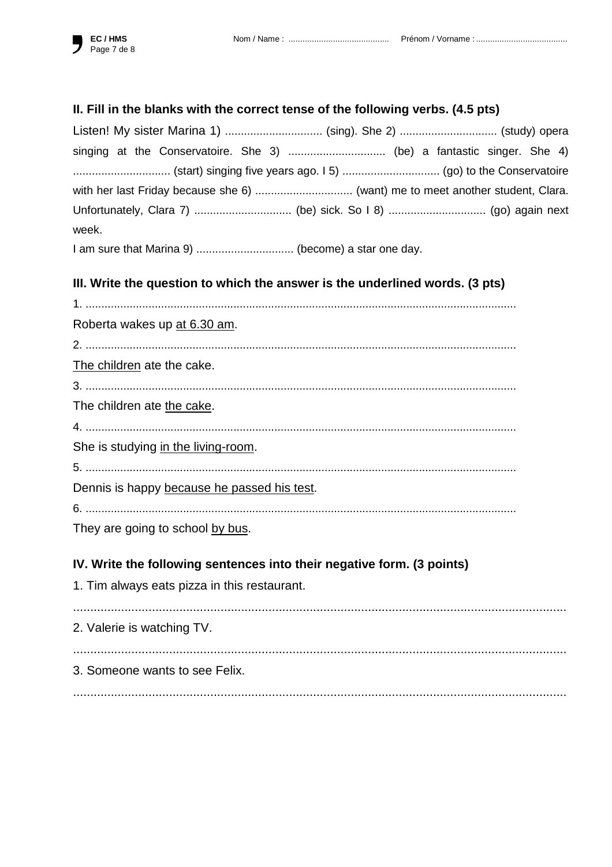## II. Fill in the blanks with the correct tense of the following verbs. (4.5 pts)

| Listen! My sister Marina 1)  (sing). She 2)  (study) opera                     |  |
|--------------------------------------------------------------------------------|--|
| singing at the Conservatoire. She 3)  (be) a fantastic singer. She 4)          |  |
| (start) singing five years ago. 15)  (go) to the Conservatoire                 |  |
| with her last Friday because she 6)  (want) me to meet another student, Clara. |  |
|                                                                                |  |
| week.                                                                          |  |

I am sure that Marina 9) .................................. (become) a star one day.

## III. Write the question to which the answer is the underlined words. (3 pts)

| Roberta wakes up at 6.30 am.                                           |
|------------------------------------------------------------------------|
|                                                                        |
| The children ate the cake.                                             |
|                                                                        |
| The children ate the cake.                                             |
|                                                                        |
| She is studying in the living-room.                                    |
|                                                                        |
| Dennis is happy because he passed his test.                            |
|                                                                        |
| They are going to school by bus.                                       |
| IV. Write the following sentences into their negative form. (3 points) |
| 1. Tim always eats pizza in this restaurant.                           |
| 2. Valerie is watching TV.                                             |
| 3. Someone wants to see Felix.                                         |
|                                                                        |